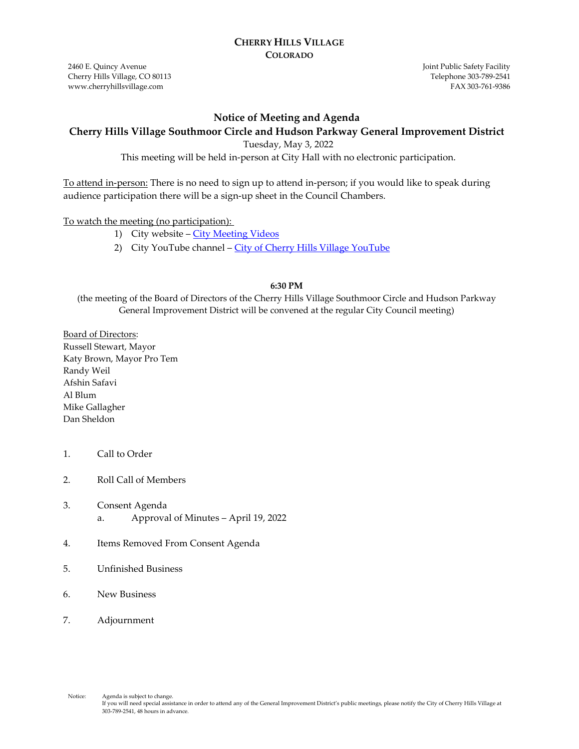#### **CHERRY HILLS VILLAGE COLORADO**

2460 E. Quincy Avenue Cherry Hills Village, CO 80113 www.cherryhillsvillage.com

Joint Public Safety Facility Telephone 303‐789‐2541 FAX 303‐761‐9386

#### **Notice of Meeting and Agenda**

#### **Cherry Hills Village Southmoor Circle and Hudson Parkway General Improvement District**

Tuesday, May 3, 2022

This meeting will be held in-person at City Hall with no electronic participation.

To attend in-person: There is no need to sign up to attend in-person; if you would like to speak during audience participation there will be a sign-up sheet in the Council Chambers.

#### To watch the meeting (no participation):

- 1) City website [City Meeting Videos](http://www.cherryhillsvillage.com/501/Council-Videos-Agendas-Packets-Minutes)
- 2) City YouTube channel [City of Cherry Hills Village YouTube](https://www.youtube.com/channel/UCHY4MgJ1gekrqDW949gW7Gw)

#### **6:30 PM**

(the meeting of the Board of Directors of the Cherry Hills Village Southmoor Circle and Hudson Parkway General Improvement District will be convened at the regular City Council meeting)

Board of Directors: Russell Stewart, Mayor Katy Brown, Mayor Pro Tem Randy Weil Afshin Safavi Al Blum Mike Gallagher Dan Sheldon

- 1. Call to Order
- 2. Roll Call of Members
- 3. Consent Agenda a. Approval of Minutes – April 19, 2022
- 4. Items Removed From Consent Agenda
- 5. Unfinished Business
- 6. New Business
- 7. Adjournment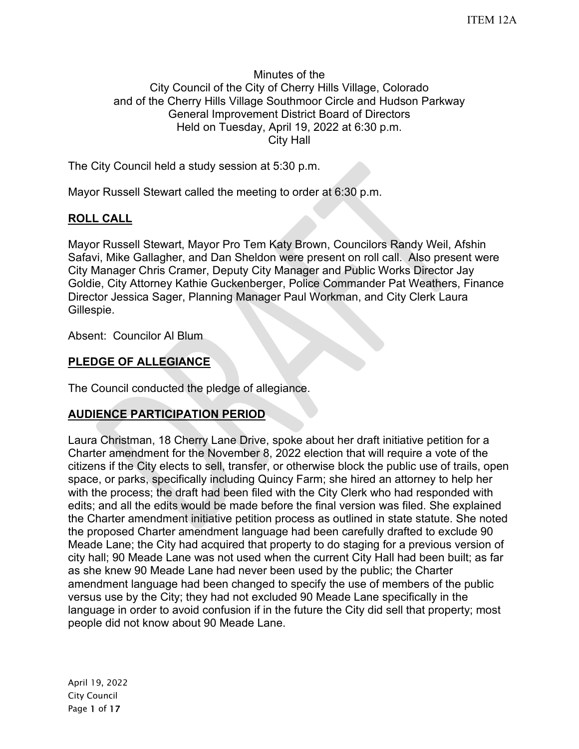#### Minutes of the City Council of the City of Cherry Hills Village, Colorado and of the Cherry Hills Village Southmoor Circle and Hudson Parkway General Improvement District Board of Directors Held on Tuesday, April 19, 2022 at 6:30 p.m. City Hall

The City Council held a study session at 5:30 p.m.

Mayor Russell Stewart called the meeting to order at 6:30 p.m.

# **ROLL CALL**

Mayor Russell Stewart, Mayor Pro Tem Katy Brown, Councilors Randy Weil, Afshin Safavi, Mike Gallagher, and Dan Sheldon were present on roll call. Also present were City Manager Chris Cramer, Deputy City Manager and Public Works Director Jay Goldie, City Attorney Kathie Guckenberger, Police Commander Pat Weathers, Finance Director Jessica Sager, Planning Manager Paul Workman, and City Clerk Laura Gillespie.

Absent: Councilor Al Blum

# **PLEDGE OF ALLEGIANCE**

The Council conducted the pledge of allegiance.

# **AUDIENCE PARTICIPATION PERIOD**

Laura Christman, 18 Cherry Lane Drive, spoke about her draft initiative petition for a Charter amendment for the November 8, 2022 election that will require a vote of the citizens if the City elects to sell, transfer, or otherwise block the public use of trails, open space, or parks, specifically including Quincy Farm; she hired an attorney to help her with the process; the draft had been filed with the City Clerk who had responded with edits; and all the edits would be made before the final version was filed. She explained the Charter amendment initiative petition process as outlined in state statute. She noted the proposed Charter amendment language had been carefully drafted to exclude 90 Meade Lane; the City had acquired that property to do staging for a previous version of city hall; 90 Meade Lane was not used when the current City Hall had been built; as far as she knew 90 Meade Lane had never been used by the public; the Charter amendment language had been changed to specify the use of members of the public versus use by the City; they had not excluded 90 Meade Lane specifically in the language in order to avoid confusion if in the future the City did sell that property; most people did not know about 90 Meade Lane.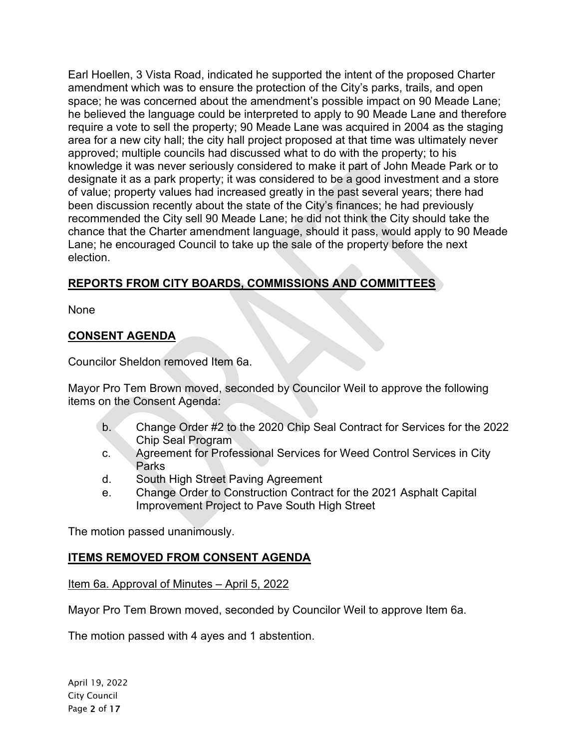Earl Hoellen, 3 Vista Road, indicated he supported the intent of the proposed Charter amendment which was to ensure the protection of the City's parks, trails, and open space; he was concerned about the amendment's possible impact on 90 Meade Lane; he believed the language could be interpreted to apply to 90 Meade Lane and therefore require a vote to sell the property; 90 Meade Lane was acquired in 2004 as the staging area for a new city hall; the city hall project proposed at that time was ultimately never approved; multiple councils had discussed what to do with the property; to his knowledge it was never seriously considered to make it part of John Meade Park or to designate it as a park property; it was considered to be a good investment and a store of value; property values had increased greatly in the past several years; there had been discussion recently about the state of the City's finances; he had previously recommended the City sell 90 Meade Lane; he did not think the City should take the chance that the Charter amendment language, should it pass, would apply to 90 Meade Lane; he encouraged Council to take up the sale of the property before the next election.

# **REPORTS FROM CITY BOARDS, COMMISSIONS AND COMMITTEES**

None

# **CONSENT AGENDA**

Councilor Sheldon removed Item 6a.

Mayor Pro Tem Brown moved, seconded by Councilor Weil to approve the following items on the Consent Agenda:

- b. Change Order #2 to the 2020 Chip Seal Contract for Services for the 2022 Chip Seal Program
- c. Agreement for Professional Services for Weed Control Services in City Parks
- d. South High Street Paving Agreement
- e. Change Order to Construction Contract for the 2021 Asphalt Capital Improvement Project to Pave South High Street

The motion passed unanimously.

# **ITEMS REMOVED FROM CONSENT AGENDA**

Item 6a. Approval of Minutes – April 5, 2022

Mayor Pro Tem Brown moved, seconded by Councilor Weil to approve Item 6a.

The motion passed with 4 ayes and 1 abstention.

April 19, 2022 City Council Page 2 of 17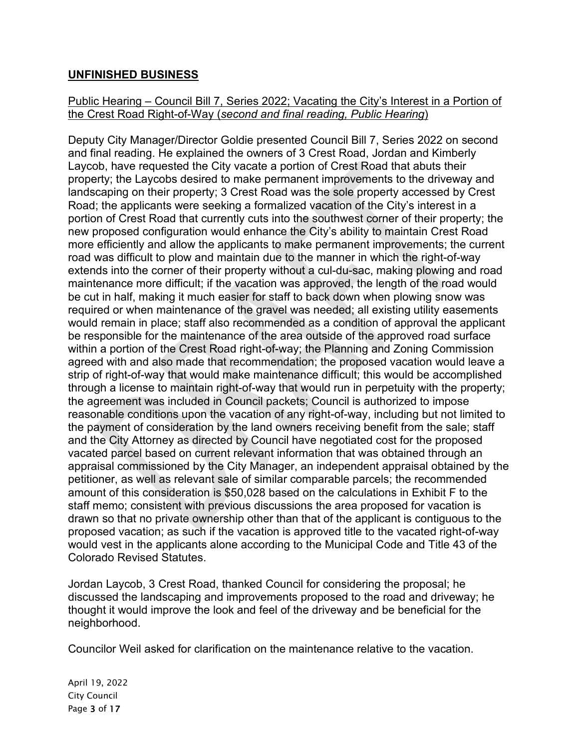## **UNFINISHED BUSINESS**

### Public Hearing – Council Bill 7, Series 2022; Vacating the City's Interest in a Portion of the Crest Road Right-of-Way (*second and final reading, Public Hearing*)

Deputy City Manager/Director Goldie presented Council Bill 7, Series 2022 on second and final reading. He explained the owners of 3 Crest Road, Jordan and Kimberly Laycob, have requested the City vacate a portion of Crest Road that abuts their property; the Laycobs desired to make permanent improvements to the driveway and landscaping on their property; 3 Crest Road was the sole property accessed by Crest Road; the applicants were seeking a formalized vacation of the City's interest in a portion of Crest Road that currently cuts into the southwest corner of their property; the new proposed configuration would enhance the City's ability to maintain Crest Road more efficiently and allow the applicants to make permanent improvements; the current road was difficult to plow and maintain due to the manner in which the right-of-way extends into the corner of their property without a cul-du-sac, making plowing and road maintenance more difficult; if the vacation was approved, the length of the road would be cut in half, making it much easier for staff to back down when plowing snow was required or when maintenance of the gravel was needed; all existing utility easements would remain in place; staff also recommended as a condition of approval the applicant be responsible for the maintenance of the area outside of the approved road surface within a portion of the Crest Road right-of-way; the Planning and Zoning Commission agreed with and also made that recommendation; the proposed vacation would leave a strip of right-of-way that would make maintenance difficult; this would be accomplished through a license to maintain right-of-way that would run in perpetuity with the property; the agreement was included in Council packets; Council is authorized to impose reasonable conditions upon the vacation of any right-of-way, including but not limited to the payment of consideration by the land owners receiving benefit from the sale; staff and the City Attorney as directed by Council have negotiated cost for the proposed vacated parcel based on current relevant information that was obtained through an appraisal commissioned by the City Manager, an independent appraisal obtained by the petitioner, as well as relevant sale of similar comparable parcels; the recommended amount of this consideration is \$50,028 based on the calculations in Exhibit F to the staff memo; consistent with previous discussions the area proposed for vacation is drawn so that no private ownership other than that of the applicant is contiguous to the proposed vacation; as such if the vacation is approved title to the vacated right-of-way would vest in the applicants alone according to the Municipal Code and Title 43 of the Colorado Revised Statutes.

Jordan Laycob, 3 Crest Road, thanked Council for considering the proposal; he discussed the landscaping and improvements proposed to the road and driveway; he thought it would improve the look and feel of the driveway and be beneficial for the neighborhood.

Councilor Weil asked for clarification on the maintenance relative to the vacation.

April 19, 2022 City Council Page 3 of 17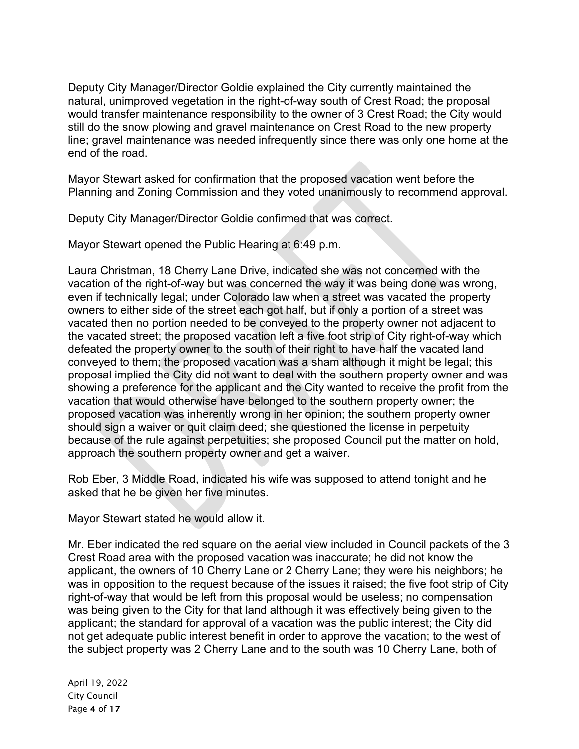Deputy City Manager/Director Goldie explained the City currently maintained the natural, unimproved vegetation in the right-of-way south of Crest Road; the proposal would transfer maintenance responsibility to the owner of 3 Crest Road; the City would still do the snow plowing and gravel maintenance on Crest Road to the new property line; gravel maintenance was needed infrequently since there was only one home at the end of the road.

Mayor Stewart asked for confirmation that the proposed vacation went before the Planning and Zoning Commission and they voted unanimously to recommend approval.

Deputy City Manager/Director Goldie confirmed that was correct.

Mayor Stewart opened the Public Hearing at 6:49 p.m.

Laura Christman, 18 Cherry Lane Drive, indicated she was not concerned with the vacation of the right-of-way but was concerned the way it was being done was wrong, even if technically legal; under Colorado law when a street was vacated the property owners to either side of the street each got half, but if only a portion of a street was vacated then no portion needed to be conveyed to the property owner not adjacent to the vacated street; the proposed vacation left a five foot strip of City right-of-way which defeated the property owner to the south of their right to have half the vacated land conveyed to them; the proposed vacation was a sham although it might be legal; this proposal implied the City did not want to deal with the southern property owner and was showing a preference for the applicant and the City wanted to receive the profit from the vacation that would otherwise have belonged to the southern property owner; the proposed vacation was inherently wrong in her opinion; the southern property owner should sign a waiver or quit claim deed; she questioned the license in perpetuity because of the rule against perpetuities; she proposed Council put the matter on hold, approach the southern property owner and get a waiver.

Rob Eber, 3 Middle Road, indicated his wife was supposed to attend tonight and he asked that he be given her five minutes.

Mayor Stewart stated he would allow it.

Mr. Eber indicated the red square on the aerial view included in Council packets of the 3 Crest Road area with the proposed vacation was inaccurate; he did not know the applicant, the owners of 10 Cherry Lane or 2 Cherry Lane; they were his neighbors; he was in opposition to the request because of the issues it raised; the five foot strip of City right-of-way that would be left from this proposal would be useless; no compensation was being given to the City for that land although it was effectively being given to the applicant; the standard for approval of a vacation was the public interest; the City did not get adequate public interest benefit in order to approve the vacation; to the west of the subject property was 2 Cherry Lane and to the south was 10 Cherry Lane, both of

April 19, 2022 City Council Page 4 of 17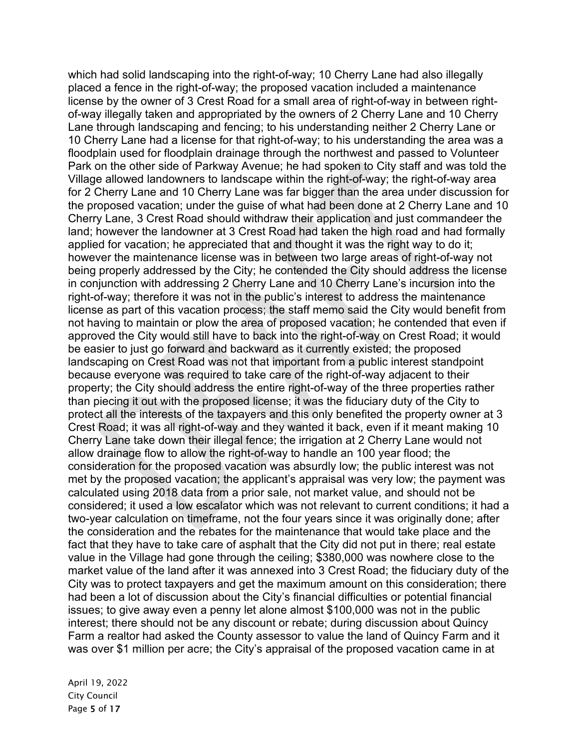which had solid landscaping into the right-of-way; 10 Cherry Lane had also illegally placed a fence in the right-of-way; the proposed vacation included a maintenance license by the owner of 3 Crest Road for a small area of right-of-way in between rightof-way illegally taken and appropriated by the owners of 2 Cherry Lane and 10 Cherry Lane through landscaping and fencing; to his understanding neither 2 Cherry Lane or 10 Cherry Lane had a license for that right-of-way; to his understanding the area was a floodplain used for floodplain drainage through the northwest and passed to Volunteer Park on the other side of Parkway Avenue; he had spoken to City staff and was told the Village allowed landowners to landscape within the right-of-way; the right-of-way area for 2 Cherry Lane and 10 Cherry Lane was far bigger than the area under discussion for the proposed vacation; under the guise of what had been done at 2 Cherry Lane and 10 Cherry Lane, 3 Crest Road should withdraw their application and just commandeer the land; however the landowner at 3 Crest Road had taken the high road and had formally applied for vacation; he appreciated that and thought it was the right way to do it; however the maintenance license was in between two large areas of right-of-way not being properly addressed by the City; he contended the City should address the license in conjunction with addressing 2 Cherry Lane and 10 Cherry Lane's incursion into the right-of-way; therefore it was not in the public's interest to address the maintenance license as part of this vacation process; the staff memo said the City would benefit from not having to maintain or plow the area of proposed vacation; he contended that even if approved the City would still have to back into the right-of-way on Crest Road; it would be easier to just go forward and backward as it currently existed; the proposed landscaping on Crest Road was not that important from a public interest standpoint because everyone was required to take care of the right-of-way adjacent to their property; the City should address the entire right-of-way of the three properties rather than piecing it out with the proposed license; it was the fiduciary duty of the City to protect all the interests of the taxpayers and this only benefited the property owner at 3 Crest Road; it was all right-of-way and they wanted it back, even if it meant making 10 Cherry Lane take down their illegal fence; the irrigation at 2 Cherry Lane would not allow drainage flow to allow the right-of-way to handle an 100 year flood; the consideration for the proposed vacation was absurdly low; the public interest was not met by the proposed vacation; the applicant's appraisal was very low; the payment was calculated using 2018 data from a prior sale, not market value, and should not be considered; it used a low escalator which was not relevant to current conditions; it had a two-year calculation on timeframe, not the four years since it was originally done; after the consideration and the rebates for the maintenance that would take place and the fact that they have to take care of asphalt that the City did not put in there; real estate value in the Village had gone through the ceiling; \$380,000 was nowhere close to the market value of the land after it was annexed into 3 Crest Road; the fiduciary duty of the City was to protect taxpayers and get the maximum amount on this consideration; there had been a lot of discussion about the City's financial difficulties or potential financial issues; to give away even a penny let alone almost \$100,000 was not in the public interest; there should not be any discount or rebate; during discussion about Quincy Farm a realtor had asked the County assessor to value the land of Quincy Farm and it was over \$1 million per acre; the City's appraisal of the proposed vacation came in at

April 19, 2022 City Council Page 5 of 17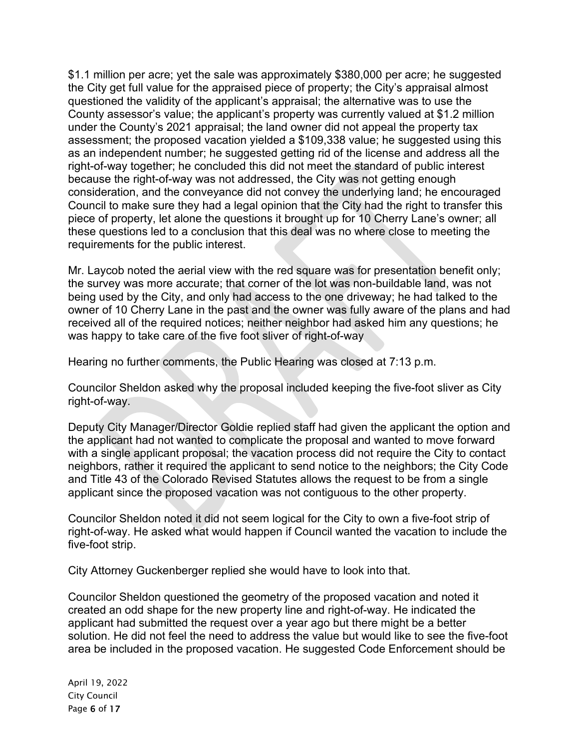\$1.1 million per acre; yet the sale was approximately \$380,000 per acre; he suggested the City get full value for the appraised piece of property; the City's appraisal almost questioned the validity of the applicant's appraisal; the alternative was to use the County assessor's value; the applicant's property was currently valued at \$1.2 million under the County's 2021 appraisal; the land owner did not appeal the property tax assessment; the proposed vacation yielded a \$109,338 value; he suggested using this as an independent number; he suggested getting rid of the license and address all the right-of-way together; he concluded this did not meet the standard of public interest because the right-of-way was not addressed, the City was not getting enough consideration, and the conveyance did not convey the underlying land; he encouraged Council to make sure they had a legal opinion that the City had the right to transfer this piece of property, let alone the questions it brought up for 10 Cherry Lane's owner; all these questions led to a conclusion that this deal was no where close to meeting the requirements for the public interest.

Mr. Laycob noted the aerial view with the red square was for presentation benefit only; the survey was more accurate; that corner of the lot was non-buildable land, was not being used by the City, and only had access to the one driveway; he had talked to the owner of 10 Cherry Lane in the past and the owner was fully aware of the plans and had received all of the required notices; neither neighbor had asked him any questions; he was happy to take care of the five foot sliver of right-of-way

Hearing no further comments, the Public Hearing was closed at 7:13 p.m.

Councilor Sheldon asked why the proposal included keeping the five-foot sliver as City right-of-way.

Deputy City Manager/Director Goldie replied staff had given the applicant the option and the applicant had not wanted to complicate the proposal and wanted to move forward with a single applicant proposal; the vacation process did not require the City to contact neighbors, rather it required the applicant to send notice to the neighbors; the City Code and Title 43 of the Colorado Revised Statutes allows the request to be from a single applicant since the proposed vacation was not contiguous to the other property.

Councilor Sheldon noted it did not seem logical for the City to own a five-foot strip of right-of-way. He asked what would happen if Council wanted the vacation to include the five-foot strip.

City Attorney Guckenberger replied she would have to look into that.

Councilor Sheldon questioned the geometry of the proposed vacation and noted it created an odd shape for the new property line and right-of-way. He indicated the applicant had submitted the request over a year ago but there might be a better solution. He did not feel the need to address the value but would like to see the five-foot area be included in the proposed vacation. He suggested Code Enforcement should be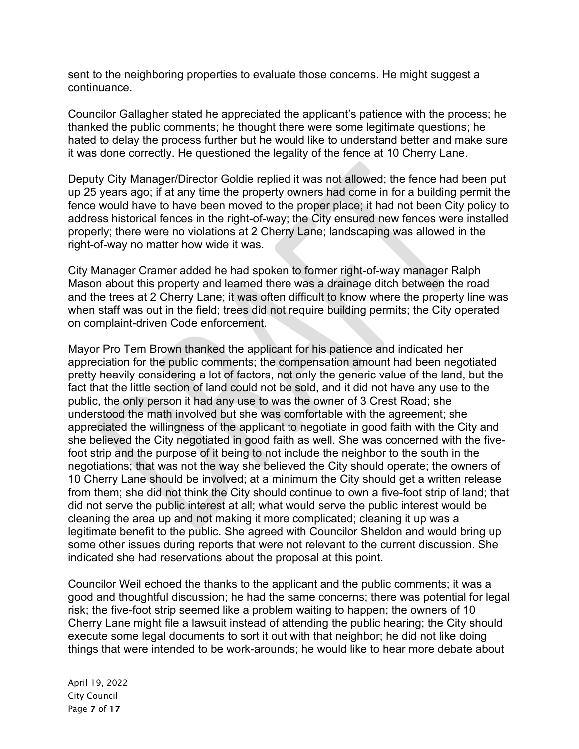sent to the neighboring properties to evaluate those concerns. He might suggest a continuance.

Councilor Gallagher stated he appreciated the applicant's patience with the process; he thanked the public comments; he thought there were some legitimate questions; he hated to delay the process further but he would like to understand better and make sure it was done correctly. He questioned the legality of the fence at 10 Cherry Lane.

Deputy City Manager/Director Goldie replied it was not allowed; the fence had been put up 25 years ago; if at any time the property owners had come in for a building permit the fence would have to have been moved to the proper place; it had not been City policy to address historical fences in the right-of-way; the City ensured new fences were installed properly; there were no violations at 2 Cherry Lane; landscaping was allowed in the right-of-way no matter how wide it was.

City Manager Cramer added he had spoken to former right-of-way manager Ralph Mason about this property and learned there was a drainage ditch between the road and the trees at 2 Cherry Lane; it was often difficult to know where the property line was when staff was out in the field; trees did not require building permits; the City operated on complaint-driven Code enforcement.

Mayor Pro Tem Brown thanked the applicant for his patience and indicated her appreciation for the public comments; the compensation amount had been negotiated pretty heavily considering a lot of factors, not only the generic value of the land, but the fact that the little section of land could not be sold, and it did not have any use to the public, the only person it had any use to was the owner of 3 Crest Road; she understood the math involved but she was comfortable with the agreement; she appreciated the willingness of the applicant to negotiate in good faith with the City and she believed the City negotiated in good faith as well. She was concerned with the fivefoot strip and the purpose of it being to not include the neighbor to the south in the negotiations; that was not the way she believed the City should operate; the owners of 10 Cherry Lane should be involved; at a minimum the City should get a written release from them; she did not think the City should continue to own a five-foot strip of land; that did not serve the public interest at all; what would serve the public interest would be cleaning the area up and not making it more complicated; cleaning it up was a legitimate benefit to the public. She agreed with Councilor Sheldon and would bring up some other issues during reports that were not relevant to the current discussion. She indicated she had reservations about the proposal at this point.

Councilor Weil echoed the thanks to the applicant and the public comments; it was a good and thoughtful discussion; he had the same concerns; there was potential for legal risk; the five-foot strip seemed like a problem waiting to happen; the owners of 10 Cherry Lane might file a lawsuit instead of attending the public hearing; the City should execute some legal documents to sort it out with that neighbor; he did not like doing things that were intended to be work-arounds; he would like to hear more debate about

April 19, 2022 City Council Page 7 of 17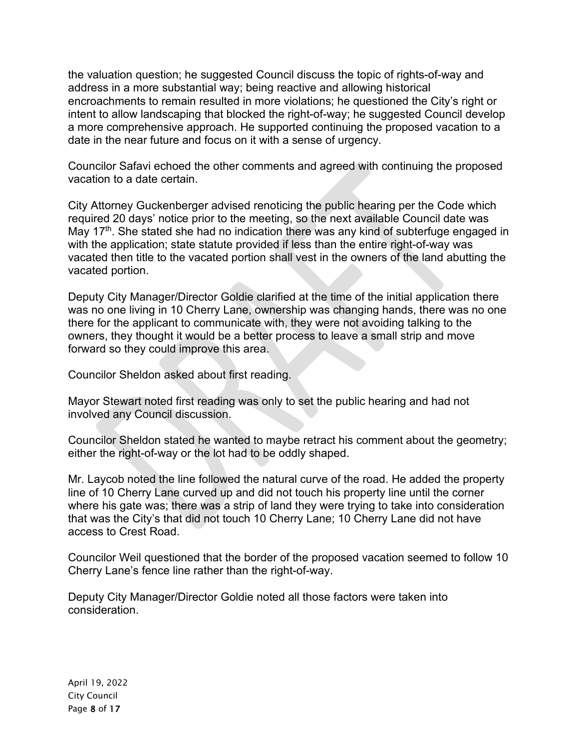the valuation question; he suggested Council discuss the topic of rights-of-way and address in a more substantial way; being reactive and allowing historical encroachments to remain resulted in more violations; he questioned the City's right or intent to allow landscaping that blocked the right-of-way; he suggested Council develop a more comprehensive approach. He supported continuing the proposed vacation to a date in the near future and focus on it with a sense of urgency.

Councilor Safavi echoed the other comments and agreed with continuing the proposed vacation to a date certain.

City Attorney Guckenberger advised renoticing the public hearing per the Code which required 20 days' notice prior to the meeting, so the next available Council date was May 17<sup>th</sup>. She stated she had no indication there was any kind of subterfuge engaged in with the application; state statute provided if less than the entire right-of-way was vacated then title to the vacated portion shall vest in the owners of the land abutting the vacated portion.

Deputy City Manager/Director Goldie clarified at the time of the initial application there was no one living in 10 Cherry Lane, ownership was changing hands, there was no one there for the applicant to communicate with, they were not avoiding talking to the owners, they thought it would be a better process to leave a small strip and move forward so they could improve this area.

Councilor Sheldon asked about first reading.

Mayor Stewart noted first reading was only to set the public hearing and had not involved any Council discussion.

Councilor Sheldon stated he wanted to maybe retract his comment about the geometry; either the right-of-way or the lot had to be oddly shaped.

Mr. Laycob noted the line followed the natural curve of the road. He added the property line of 10 Cherry Lane curved up and did not touch his property line until the corner where his gate was; there was a strip of land they were trying to take into consideration that was the City's that did not touch 10 Cherry Lane; 10 Cherry Lane did not have access to Crest Road.

Councilor Weil questioned that the border of the proposed vacation seemed to follow 10 Cherry Lane's fence line rather than the right-of-way.

Deputy City Manager/Director Goldie noted all those factors were taken into consideration.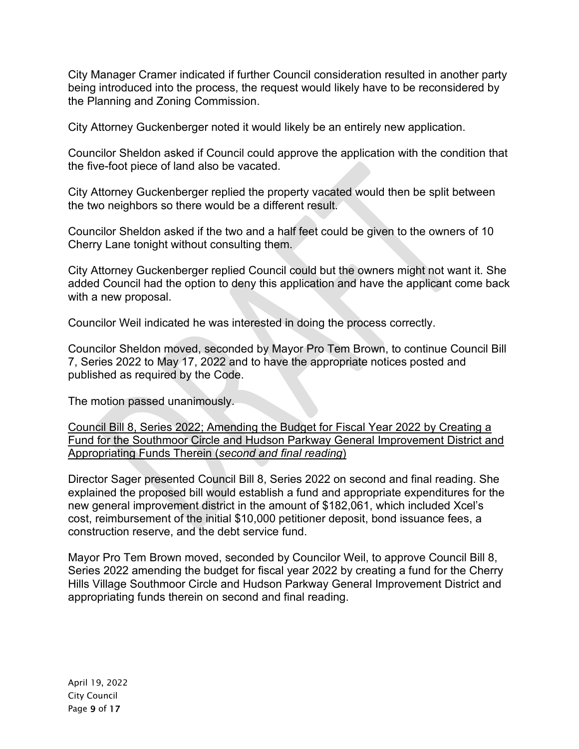City Manager Cramer indicated if further Council consideration resulted in another party being introduced into the process, the request would likely have to be reconsidered by the Planning and Zoning Commission.

City Attorney Guckenberger noted it would likely be an entirely new application.

Councilor Sheldon asked if Council could approve the application with the condition that the five-foot piece of land also be vacated.

City Attorney Guckenberger replied the property vacated would then be split between the two neighbors so there would be a different result.

Councilor Sheldon asked if the two and a half feet could be given to the owners of 10 Cherry Lane tonight without consulting them.

City Attorney Guckenberger replied Council could but the owners might not want it. She added Council had the option to deny this application and have the applicant come back with a new proposal.

Councilor Weil indicated he was interested in doing the process correctly.

Councilor Sheldon moved, seconded by Mayor Pro Tem Brown, to continue Council Bill 7, Series 2022 to May 17, 2022 and to have the appropriate notices posted and published as required by the Code.

The motion passed unanimously.

Council Bill 8, Series 2022; Amending the Budget for Fiscal Year 2022 by Creating a Fund for the Southmoor Circle and Hudson Parkway General Improvement District and Appropriating Funds Therein (*second and final reading*)

Director Sager presented Council Bill 8, Series 2022 on second and final reading. She explained the proposed bill would establish a fund and appropriate expenditures for the new general improvement district in the amount of \$182,061, which included Xcel's cost, reimbursement of the initial \$10,000 petitioner deposit, bond issuance fees, a construction reserve, and the debt service fund.

Mayor Pro Tem Brown moved, seconded by Councilor Weil, to approve Council Bill 8, Series 2022 amending the budget for fiscal year 2022 by creating a fund for the Cherry Hills Village Southmoor Circle and Hudson Parkway General Improvement District and appropriating funds therein on second and final reading.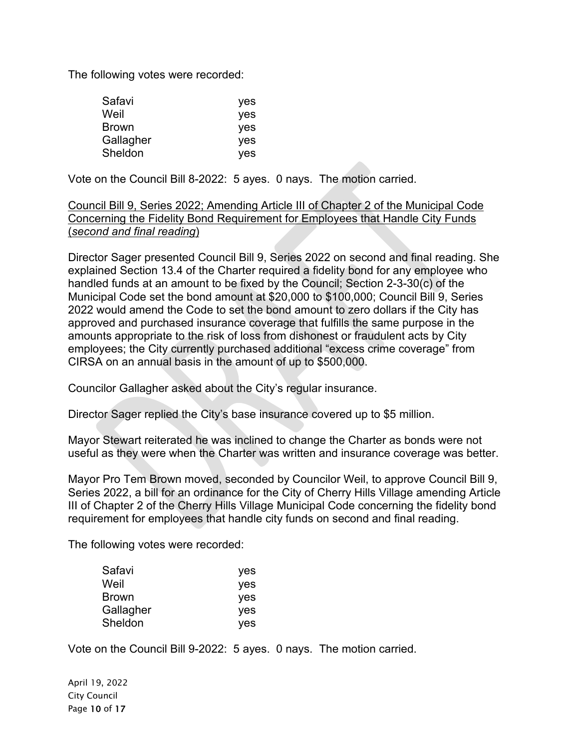The following votes were recorded:

| Safavi       | yes |
|--------------|-----|
| Weil         | yes |
| <b>Brown</b> | yes |
| Gallagher    | yes |
| Sheldon      | yes |

Vote on the Council Bill 8-2022: 5 ayes. 0 nays. The motion carried.

## Council Bill 9, Series 2022; Amending Article III of Chapter 2 of the Municipal Code Concerning the Fidelity Bond Requirement for Employees that Handle City Funds (*second and final reading*)

Director Sager presented Council Bill 9, Series 2022 on second and final reading. She explained Section 13.4 of the Charter required a fidelity bond for any employee who handled funds at an amount to be fixed by the Council; Section 2-3-30(c) of the Municipal Code set the bond amount at \$20,000 to \$100,000; Council Bill 9, Series 2022 would amend the Code to set the bond amount to zero dollars if the City has approved and purchased insurance coverage that fulfills the same purpose in the amounts appropriate to the risk of loss from dishonest or fraudulent acts by City employees; the City currently purchased additional "excess crime coverage" from CIRSA on an annual basis in the amount of up to \$500,000.

Councilor Gallagher asked about the City's regular insurance.

Director Sager replied the City's base insurance covered up to \$5 million.

Mayor Stewart reiterated he was inclined to change the Charter as bonds were not useful as they were when the Charter was written and insurance coverage was better.

Mayor Pro Tem Brown moved, seconded by Councilor Weil, to approve Council Bill 9, Series 2022, a bill for an ordinance for the City of Cherry Hills Village amending Article III of Chapter 2 of the Cherry Hills Village Municipal Code concerning the fidelity bond requirement for employees that handle city funds on second and final reading.

The following votes were recorded:

| Safavi       | yes |
|--------------|-----|
| Weil         | yes |
| <b>Brown</b> | yes |
| Gallagher    | yes |
| Sheldon      | yes |

Vote on the Council Bill 9-2022: 5 ayes. 0 nays. The motion carried.

April 19, 2022 City Council Page 10 of 17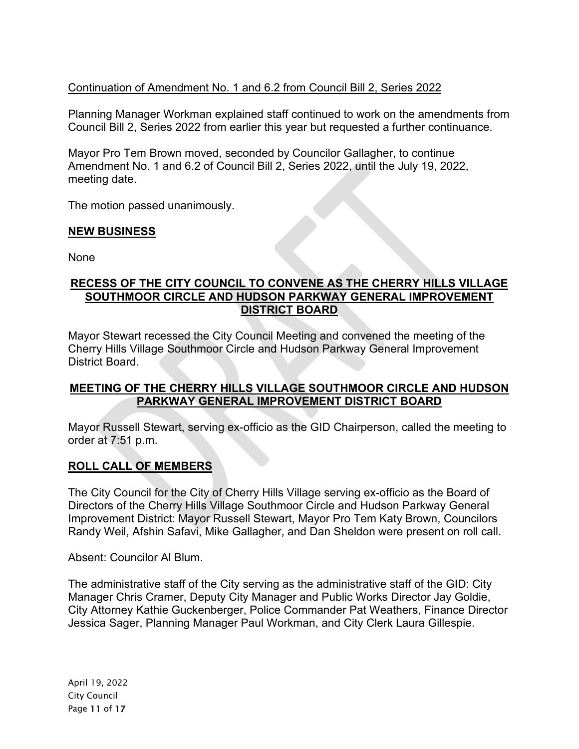# Continuation of Amendment No. 1 and 6.2 from Council Bill 2, Series 2022

Planning Manager Workman explained staff continued to work on the amendments from Council Bill 2, Series 2022 from earlier this year but requested a further continuance.

Mayor Pro Tem Brown moved, seconded by Councilor Gallagher, to continue Amendment No. 1 and 6.2 of Council Bill 2, Series 2022, until the July 19, 2022, meeting date.

The motion passed unanimously.

## **NEW BUSINESS**

None

### **RECESS OF THE CITY COUNCIL TO CONVENE AS THE CHERRY HILLS VILLAGE SOUTHMOOR CIRCLE AND HUDSON PARKWAY GENERAL IMPROVEMENT DISTRICT BOARD**

Mayor Stewart recessed the City Council Meeting and convened the meeting of the Cherry Hills Village Southmoor Circle and Hudson Parkway General Improvement District Board.

## **MEETING OF THE CHERRY HILLS VILLAGE SOUTHMOOR CIRCLE AND HUDSON PARKWAY GENERAL IMPROVEMENT DISTRICT BOARD**

Mayor Russell Stewart, serving ex-officio as the GID Chairperson, called the meeting to order at 7:51 p.m.

# **ROLL CALL OF MEMBERS**

The City Council for the City of Cherry Hills Village serving ex-officio as the Board of Directors of the Cherry Hills Village Southmoor Circle and Hudson Parkway General Improvement District: Mayor Russell Stewart, Mayor Pro Tem Katy Brown, Councilors Randy Weil, Afshin Safavi, Mike Gallagher, and Dan Sheldon were present on roll call.

Absent: Councilor Al Blum.

The administrative staff of the City serving as the administrative staff of the GID: City Manager Chris Cramer, Deputy City Manager and Public Works Director Jay Goldie, City Attorney Kathie Guckenberger, Police Commander Pat Weathers, Finance Director Jessica Sager, Planning Manager Paul Workman, and City Clerk Laura Gillespie.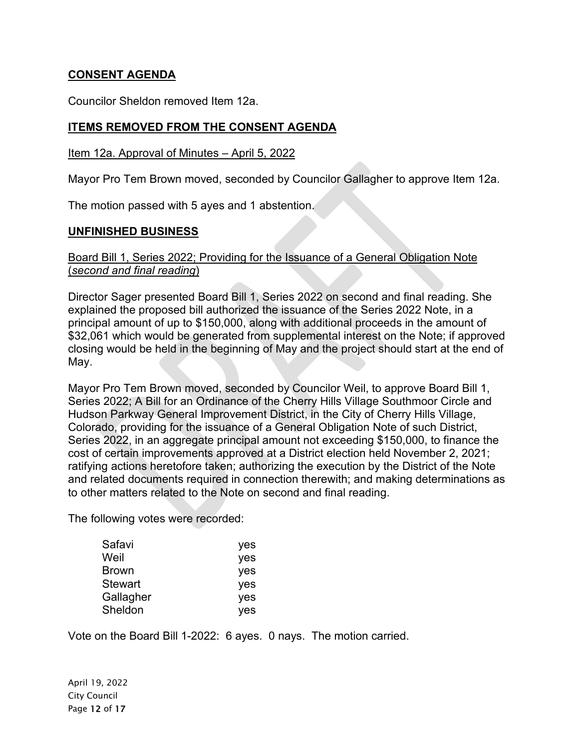# **CONSENT AGENDA**

Councilor Sheldon removed Item 12a.

## **ITEMS REMOVED FROM THE CONSENT AGENDA**

#### Item 12a. Approval of Minutes – April 5, 2022

Mayor Pro Tem Brown moved, seconded by Councilor Gallagher to approve Item 12a.

The motion passed with 5 ayes and 1 abstention.

#### **UNFINISHED BUSINESS**

### Board Bill 1, Series 2022; Providing for the Issuance of a General Obligation Note (*second and final reading*)

Director Sager presented Board Bill 1, Series 2022 on second and final reading. She explained the proposed bill authorized the issuance of the Series 2022 Note, in a principal amount of up to \$150,000, along with additional proceeds in the amount of \$32,061 which would be generated from supplemental interest on the Note; if approved closing would be held in the beginning of May and the project should start at the end of May.

Mayor Pro Tem Brown moved, seconded by Councilor Weil, to approve Board Bill 1, Series 2022; A Bill for an Ordinance of the Cherry Hills Village Southmoor Circle and Hudson Parkway General Improvement District, in the City of Cherry Hills Village, Colorado, providing for the issuance of a General Obligation Note of such District, Series 2022, in an aggregate principal amount not exceeding \$150,000, to finance the cost of certain improvements approved at a District election held November 2, 2021; ratifying actions heretofore taken; authorizing the execution by the District of the Note and related documents required in connection therewith; and making determinations as to other matters related to the Note on second and final reading.

The following votes were recorded:

| Safavi         | yes |
|----------------|-----|
| Weil           | yes |
| <b>Brown</b>   | yes |
| <b>Stewart</b> | yes |
| Gallagher      | yes |
| Sheldon        | yes |

Vote on the Board Bill 1-2022: 6 ayes. 0 nays. The motion carried.

April 19, 2022 City Council Page 12 of 17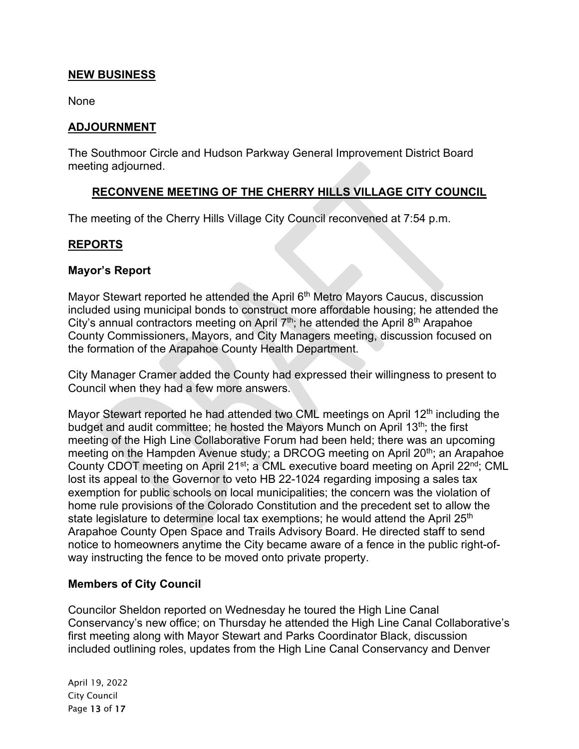### **NEW BUSINESS**

None

#### **ADJOURNMENT**

The Southmoor Circle and Hudson Parkway General Improvement District Board meeting adjourned.

### **RECONVENE MEETING OF THE CHERRY HILLS VILLAGE CITY COUNCIL**

The meeting of the Cherry Hills Village City Council reconvened at 7:54 p.m.

### **REPORTS**

#### **Mayor's Report**

Mayor Stewart reported he attended the April 6<sup>th</sup> Metro Mayors Caucus, discussion included using municipal bonds to construct more affordable housing; he attended the City's annual contractors meeting on April  $7<sup>th</sup>$ ; he attended the April  $8<sup>th</sup>$  Arapahoe County Commissioners, Mayors, and City Managers meeting, discussion focused on the formation of the Arapahoe County Health Department.

City Manager Cramer added the County had expressed their willingness to present to Council when they had a few more answers.

Mayor Stewart reported he had attended two CML meetings on April  $12<sup>th</sup>$  including the budget and audit committee; he hosted the Mayors Munch on April 13<sup>th</sup>; the first meeting of the High Line Collaborative Forum had been held; there was an upcoming meeting on the Hampden Avenue study; a DRCOG meeting on April 20<sup>th</sup>; an Arapahoe County CDOT meeting on April 21<sup>st</sup>; a CML executive board meeting on April 22<sup>nd</sup>; CML lost its appeal to the Governor to veto HB 22-1024 regarding imposing a sales tax exemption for public schools on local municipalities; the concern was the violation of home rule provisions of the Colorado Constitution and the precedent set to allow the state legislature to determine local tax exemptions; he would attend the April 25<sup>th</sup> Arapahoe County Open Space and Trails Advisory Board. He directed staff to send notice to homeowners anytime the City became aware of a fence in the public right-ofway instructing the fence to be moved onto private property.

### **Members of City Council**

Councilor Sheldon reported on Wednesday he toured the High Line Canal Conservancy's new office; on Thursday he attended the High Line Canal Collaborative's first meeting along with Mayor Stewart and Parks Coordinator Black, discussion included outlining roles, updates from the High Line Canal Conservancy and Denver

April 19, 2022 City Council Page 13 of 17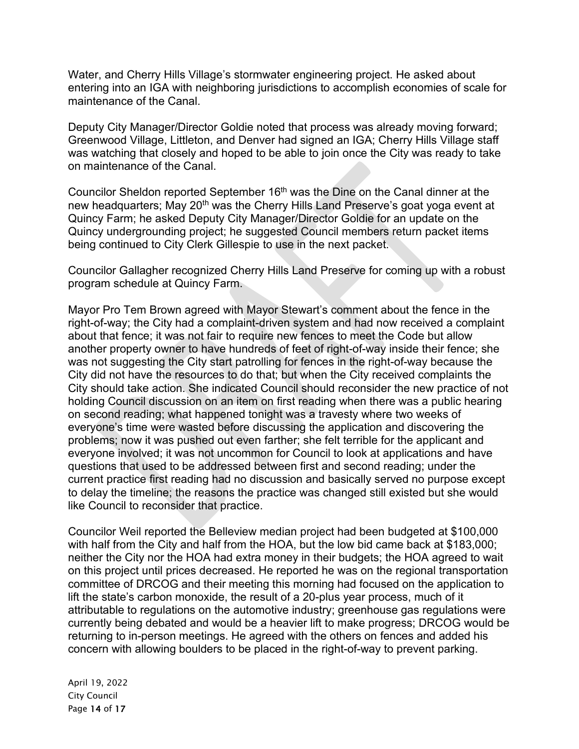Water, and Cherry Hills Village's stormwater engineering project. He asked about entering into an IGA with neighboring jurisdictions to accomplish economies of scale for maintenance of the Canal.

Deputy City Manager/Director Goldie noted that process was already moving forward; Greenwood Village, Littleton, and Denver had signed an IGA; Cherry Hills Village staff was watching that closely and hoped to be able to join once the City was ready to take on maintenance of the Canal.

Councilor Sheldon reported September 16<sup>th</sup> was the Dine on the Canal dinner at the new headquarters; May 20<sup>th</sup> was the Cherry Hills Land Preserve's goat yoga event at Quincy Farm; he asked Deputy City Manager/Director Goldie for an update on the Quincy undergrounding project; he suggested Council members return packet items being continued to City Clerk Gillespie to use in the next packet.

Councilor Gallagher recognized Cherry Hills Land Preserve for coming up with a robust program schedule at Quincy Farm.

Mayor Pro Tem Brown agreed with Mayor Stewart's comment about the fence in the right-of-way; the City had a complaint-driven system and had now received a complaint about that fence; it was not fair to require new fences to meet the Code but allow another property owner to have hundreds of feet of right-of-way inside their fence; she was not suggesting the City start patrolling for fences in the right-of-way because the City did not have the resources to do that; but when the City received complaints the City should take action. She indicated Council should reconsider the new practice of not holding Council discussion on an item on first reading when there was a public hearing on second reading; what happened tonight was a travesty where two weeks of everyone's time were wasted before discussing the application and discovering the problems; now it was pushed out even farther; she felt terrible for the applicant and everyone involved; it was not uncommon for Council to look at applications and have questions that used to be addressed between first and second reading; under the current practice first reading had no discussion and basically served no purpose except to delay the timeline; the reasons the practice was changed still existed but she would like Council to reconsider that practice.

Councilor Weil reported the Belleview median project had been budgeted at \$100,000 with half from the City and half from the HOA, but the low bid came back at \$183,000; neither the City nor the HOA had extra money in their budgets; the HOA agreed to wait on this project until prices decreased. He reported he was on the regional transportation committee of DRCOG and their meeting this morning had focused on the application to lift the state's carbon monoxide, the result of a 20-plus year process, much of it attributable to regulations on the automotive industry; greenhouse gas regulations were currently being debated and would be a heavier lift to make progress; DRCOG would be returning to in-person meetings. He agreed with the others on fences and added his concern with allowing boulders to be placed in the right-of-way to prevent parking.

April 19, 2022 City Council Page 14 of 17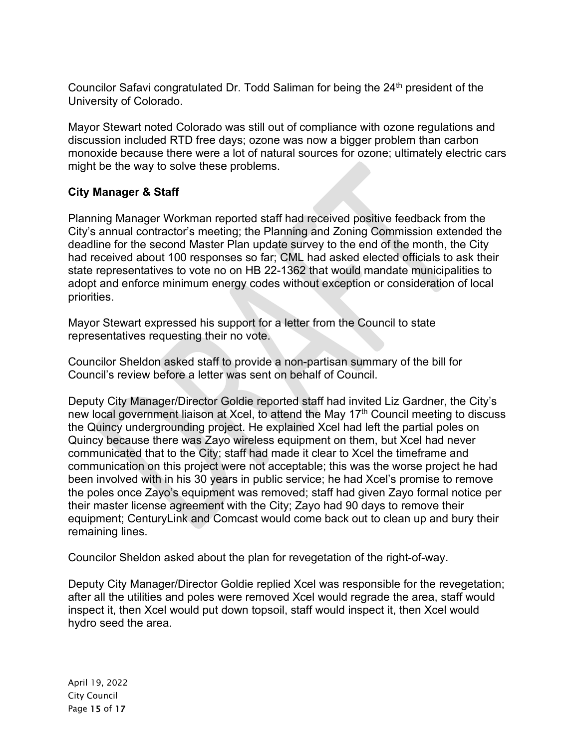Councilor Safavi congratulated Dr. Todd Saliman for being the 24<sup>th</sup> president of the University of Colorado.

Mayor Stewart noted Colorado was still out of compliance with ozone regulations and discussion included RTD free days; ozone was now a bigger problem than carbon monoxide because there were a lot of natural sources for ozone; ultimately electric cars might be the way to solve these problems.

## **City Manager & Staff**

Planning Manager Workman reported staff had received positive feedback from the City's annual contractor's meeting; the Planning and Zoning Commission extended the deadline for the second Master Plan update survey to the end of the month, the City had received about 100 responses so far; CML had asked elected officials to ask their state representatives to vote no on HB 22-1362 that would mandate municipalities to adopt and enforce minimum energy codes without exception or consideration of local priorities.

Mayor Stewart expressed his support for a letter from the Council to state representatives requesting their no vote.

Councilor Sheldon asked staff to provide a non-partisan summary of the bill for Council's review before a letter was sent on behalf of Council.

Deputy City Manager/Director Goldie reported staff had invited Liz Gardner, the City's new local government liaison at Xcel, to attend the May 17<sup>th</sup> Council meeting to discuss the Quincy undergrounding project. He explained Xcel had left the partial poles on Quincy because there was Zayo wireless equipment on them, but Xcel had never communicated that to the City; staff had made it clear to Xcel the timeframe and communication on this project were not acceptable; this was the worse project he had been involved with in his 30 years in public service; he had Xcel's promise to remove the poles once Zayo's equipment was removed; staff had given Zayo formal notice per their master license agreement with the City; Zayo had 90 days to remove their equipment; CenturyLink and Comcast would come back out to clean up and bury their remaining lines.

Councilor Sheldon asked about the plan for revegetation of the right-of-way.

Deputy City Manager/Director Goldie replied Xcel was responsible for the revegetation; after all the utilities and poles were removed Xcel would regrade the area, staff would inspect it, then Xcel would put down topsoil, staff would inspect it, then Xcel would hydro seed the area.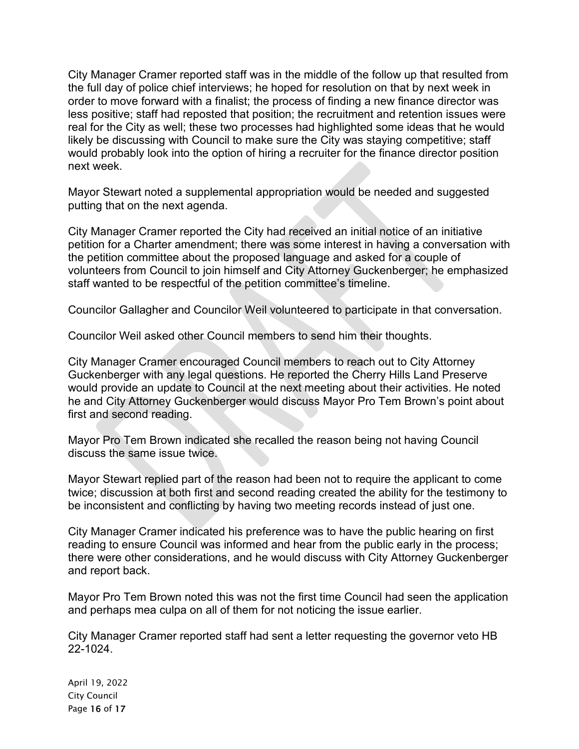City Manager Cramer reported staff was in the middle of the follow up that resulted from the full day of police chief interviews; he hoped for resolution on that by next week in order to move forward with a finalist; the process of finding a new finance director was less positive; staff had reposted that position; the recruitment and retention issues were real for the City as well; these two processes had highlighted some ideas that he would likely be discussing with Council to make sure the City was staying competitive; staff would probably look into the option of hiring a recruiter for the finance director position next week.

Mayor Stewart noted a supplemental appropriation would be needed and suggested putting that on the next agenda.

City Manager Cramer reported the City had received an initial notice of an initiative petition for a Charter amendment; there was some interest in having a conversation with the petition committee about the proposed language and asked for a couple of volunteers from Council to join himself and City Attorney Guckenberger; he emphasized staff wanted to be respectful of the petition committee's timeline.

Councilor Gallagher and Councilor Weil volunteered to participate in that conversation.

Councilor Weil asked other Council members to send him their thoughts.

City Manager Cramer encouraged Council members to reach out to City Attorney Guckenberger with any legal questions. He reported the Cherry Hills Land Preserve would provide an update to Council at the next meeting about their activities. He noted he and City Attorney Guckenberger would discuss Mayor Pro Tem Brown's point about first and second reading.

Mayor Pro Tem Brown indicated she recalled the reason being not having Council discuss the same issue twice.

Mayor Stewart replied part of the reason had been not to require the applicant to come twice; discussion at both first and second reading created the ability for the testimony to be inconsistent and conflicting by having two meeting records instead of just one.

City Manager Cramer indicated his preference was to have the public hearing on first reading to ensure Council was informed and hear from the public early in the process; there were other considerations, and he would discuss with City Attorney Guckenberger and report back.

Mayor Pro Tem Brown noted this was not the first time Council had seen the application and perhaps mea culpa on all of them for not noticing the issue earlier.

City Manager Cramer reported staff had sent a letter requesting the governor veto HB 22-1024.

April 19, 2022 City Council Page 16 of 17